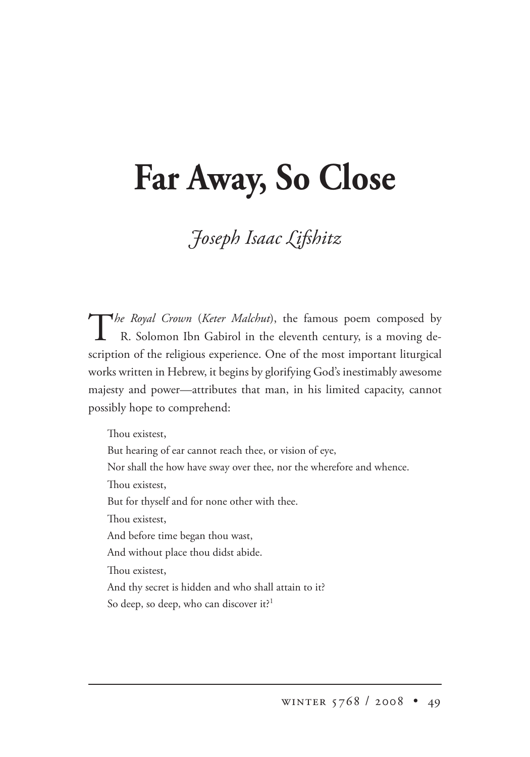## **Far Away, So Close**

## *oseph saac ifshitz*

The Royal Crown (*Keter Malchut*), the famous poem composed by R. Solomon Ibn Gabirol in the eleventh century, is a moving description of the religious experience. One of the most important liturgical works written in Hebrew, it begins by glorifying God's inestimably awesome majesty and power—attributes that man, in his limited capacity, cannot possibly hope to comprehend:

Thou existest, But hearing of ear cannot reach thee, or vision of eye, Nor shall the how have sway over thee, nor the wherefore and whence. Thou existest, But for thyself and for none other with thee. Thou existest, And before time began thou wast, And without place thou didst abide. Thou existest. And thy secret is hidden and who shall attain to it? So deep, so deep, who can discover it?<sup>1</sup>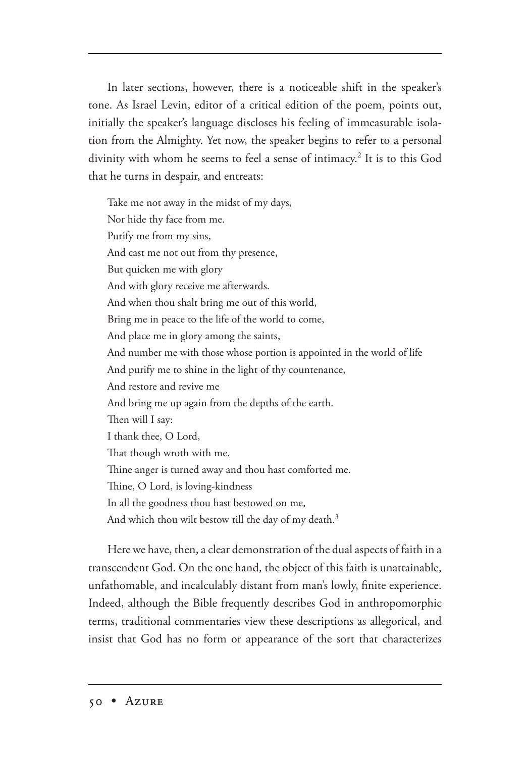In later sections, however, there is a noticeable shift in the speaker's tone. As Israel Levin, editor of a critical edition of the poem, points out, initially the speaker's language discloses his feeling of immeasurable isolation from the Almighty. Yet now, the speaker begins to refer to a personal divinity with whom he seems to feel a sense of intimacy.<sup>2</sup> It is to this God that he turns in despair, and entreats:

Take me not away in the midst of my days, Nor hide thy face from me. Purify me from my sins, And cast me not out from thy presence, But quicken me with glory And with glory receive me afterwards. And when thou shalt bring me out of this world, Bring me in peace to the life of the world to come, And place me in glory among the saints, And number me with those whose portion is appointed in the world of life And purify me to shine in the light of thy countenance, And restore and revive me And bring me up again from the depths of the earth. Then will I say: I thank thee, O Lord, That though wroth with me, Thine anger is turned away and thou hast comforted me. Thine, O Lord, is loving-kindness In all the goodness thou hast bestowed on me, And which thou wilt bestow till the day of my death.<sup>3</sup>

Here we have, then, a clear demonstration of the dual aspects of faith in a transcendent God. On the one hand, the object of this faith is unattainable, unfathomable, and incalculably distant from man's lowly, finite experience. Indeed, although the Bible frequently describes God in anthropomorphic terms, traditional commentaries view these descriptions as allegorical, and insist that God has no form or appearance of the sort that characterizes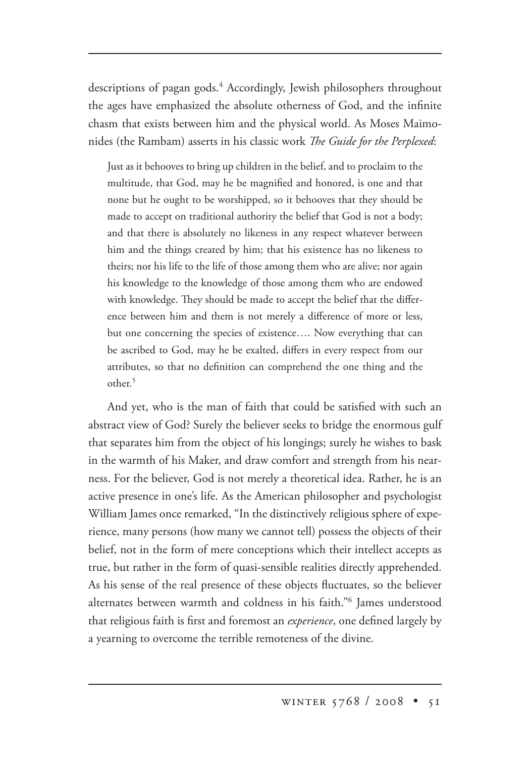descriptions of pagan gods.4 Accordingly, Jewish philosophers throughout the ages have emphasized the absolute otherness of God, and the infinite chasm that exists between him and the physical world. As Moses Maimonides (the Rambam) asserts in his classic work *The Guide for the Perplexed*:

Just as it behooves to bring up children in the belief, and to proclaim to the multitude, that God, may he be magnified and honored, is one and that none but he ought to be worshipped, so it behooves that they should be made to accept on traditional authority the belief that God is not a body; and that there is absolutely no likeness in any respect whatever between him and the things created by him; that his existence has no likeness to theirs; nor his life to the life of those among them who are alive; nor again his knowledge to the knowledge of those among them who are endowed with knowledge. They should be made to accept the belief that the difference between him and them is not merely a difference of more or less, but one concerning the species of existence…. Now everything that can be ascribed to God, may he be exalted, differs in every respect from our attributes, so that no definition can comprehend the one thing and the other.5

And yet, who is the man of faith that could be satisfied with such an abstract view of God? Surely the believer seeks to bridge the enormous gulf that separates him from the object of his longings; surely he wishes to bask in the warmth of his Maker, and draw comfort and strength from his nearness. For the believer, God is not merely a theoretical idea. Rather, he is an active presence in one's life. As the American philosopher and psychologist William James once remarked, "In the distinctively religious sphere of experience, many persons (how many we cannot tell) possess the objects of their belief, not in the form of mere conceptions which their intellect accepts as true, but rather in the form of quasi-sensible realities directly apprehended. As his sense of the real presence of these objects fluctuates, so the believer alternates between warmth and coldness in his faith."<sup>6</sup> James understood that religious faith is first and foremost an *experience*, one defined largely by a yearning to overcome the terrible remoteness of the divine.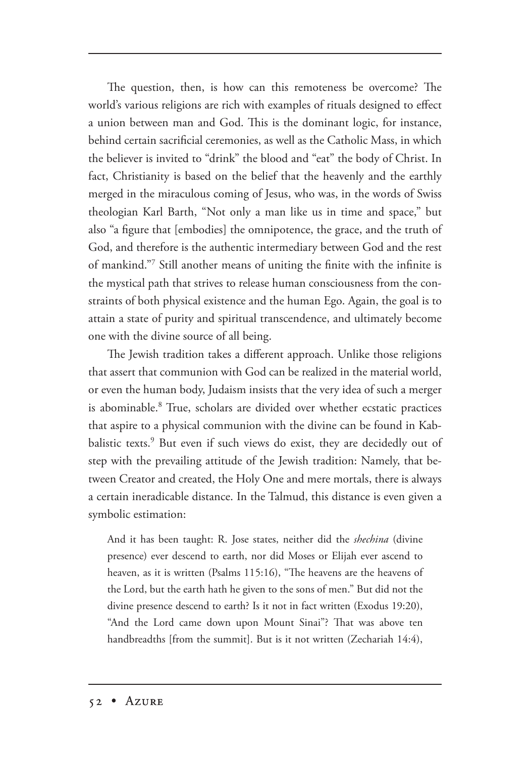The question, then, is how can this remoteness be overcome? The world's various religions are rich with examples of rituals designed to effect a union between man and God. This is the dominant logic, for instance, behind certain sacrificial ceremonies, as well as the Catholic Mass, in which the believer is invited to "drink" the blood and "eat" the body of Christ. In fact, Christianity is based on the belief that the heavenly and the earthly merged in the miraculous coming of Jesus, who was, in the words of Swiss theologian Karl Barth, "Not only a man like us in time and space," but also "a figure that [embodies] the omnipotence, the grace, and the truth of God, and therefore is the authentic intermediary between God and the rest of mankind."<sup>7</sup> Still another means of uniting the finite with the infinite is the mystical path that strives to release human consciousness from the constraints of both physical existence and the human Ego. Again, the goal is to attain a state of purity and spiritual transcendence, and ultimately become one with the divine source of all being.

The Jewish tradition takes a different approach. Unlike those religions that assert that communion with God can be realized in the material world, or even the human body, Judaism insists that the very idea of such a merger is abominable.<sup>8</sup> True, scholars are divided over whether ecstatic practices that aspire to a physical communion with the divine can be found in Kabbalistic texts.<sup>9</sup> But even if such views do exist, they are decidedly out of step with the prevailing attitude of the Jewish tradition: Namely, that between Creator and created, the Holy One and mere mortals, there is always a certain ineradicable distance. In the Talmud, this distance is even given a symbolic estimation:

And it has been taught: R. Jose states, neither did the *shechina* (divine presence) ever descend to earth, nor did Moses or Elijah ever ascend to heaven, as it is written (Psalms 115:16), "The heavens are the heavens of the Lord, but the earth hath he given to the sons of men." But did not the divine presence descend to earth? Is it not in fact written (Exodus 19:20), "And the Lord came down upon Mount Sinai"? That was above ten handbreadths [from the summit]. But is it not written (Zechariah 14:4),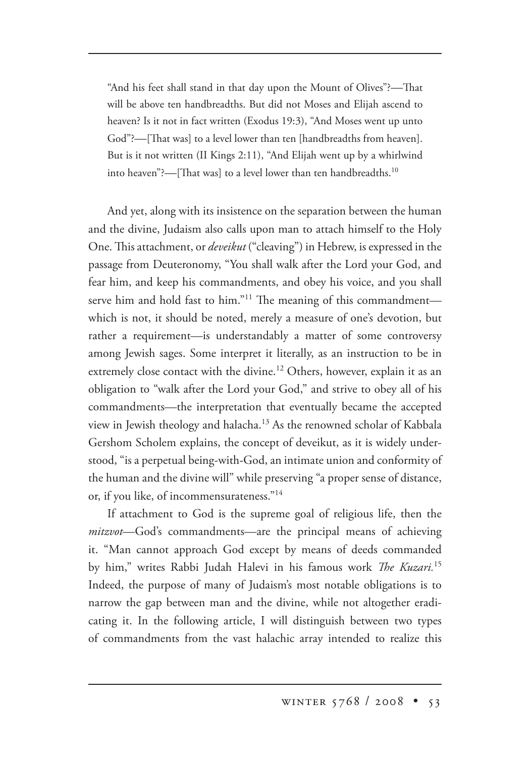"And his feet shall stand in that day upon the Mount of Olives"?--That will be above ten handbreadths. But did not Moses and Elijah ascend to heaven? Is it not in fact written (Exodus 19:3), "And Moses went up unto God"?—[That was] to a level lower than ten [handbreadths from heaven]. But is it not written (II Kings 2:11), "And Elijah went up by a whirlwind into heaven"?—[That was] to a level lower than ten handbreadths.<sup>10</sup>

And yet, along with its insistence on the separation between the human and the divine, Judaism also calls upon man to attach himself to the Holy One. This attachment, or *deveikut* ("cleaving") in Hebrew, is expressed in the passage from Deuteronomy, "You shall walk after the Lord your God, and fear him, and keep his commandments, and obey his voice, and you shall serve him and hold fast to him."<sup>11</sup> The meaning of this commandment which is not, it should be noted, merely a measure of one's devotion, but rather a requirement—is understandably a matter of some controversy among Jewish sages. Some interpret it literally, as an instruction to be in extremely close contact with the divine.<sup>12</sup> Others, however, explain it as an obligation to "walk after the Lord your God," and strive to obey all of his commandments—the interpretation that eventually became the accepted view in Jewish theology and halacha.<sup>13</sup> As the renowned scholar of Kabbala Gershom Scholem explains, the concept of deveikut, as it is widely understood, "is a perpetual being-with-God, an intimate union and conformity of the human and the divine will" while preserving "a proper sense of distance, or, if you like, of incommensurateness."14

If attachment to God is the supreme goal of religious life, then the *mitzvot*—God's commandments—are the principal means of achieving it. "Man cannot approach God except by means of deeds commanded by him," writes Rabbi Judah Halevi in his famous work *The Kuzari*.<sup>15</sup> Indeed, the purpose of many of Judaism's most notable obligations is to narrow the gap between man and the divine, while not altogether eradicating it. In the following article, I will distinguish between two types of commandments from the vast halachic array intended to realize this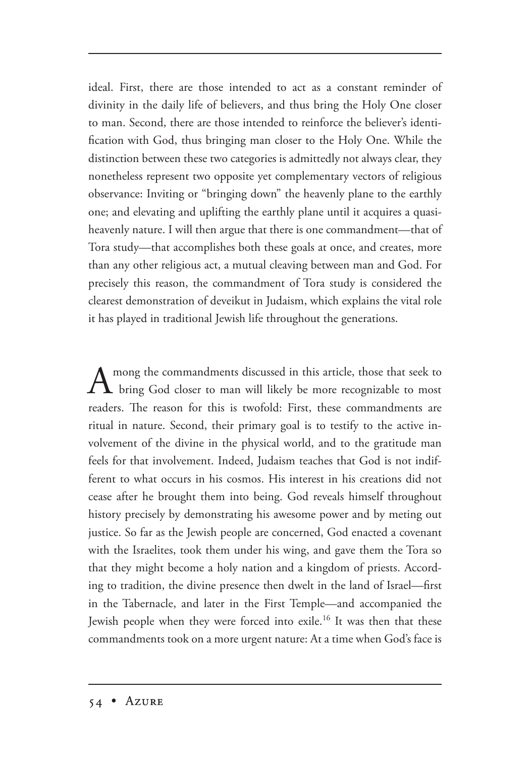ideal. First, there are those intended to act as a constant reminder of divinity in the daily life of believers, and thus bring the Holy One closer to man. Second, there are those intended to reinforce the believer's identification with God, thus bringing man closer to the Holy One. While the distinction between these two categories is admittedly not always clear, they nonetheless represent two opposite yet complementary vectors of religious observance: Inviting or "bringing down" the heavenly plane to the earthly one; and elevating and uplifting the earthly plane until it acquires a quasiheavenly nature. I will then argue that there is one commandment—that of Tora study—that accomplishes both these goals at once, and creates, more than any other religious act, a mutual cleaving between man and God. For precisely this reason, the commandment of Tora study is considered the clearest demonstration of deveikut in Judaism, which explains the vital role it has played in traditional Jewish life throughout the generations.

A mong the commandments discussed in this article, those that seek to bring God closer to man will likely be more recognizable to most readers. The reason for this is twofold: First, these commandments are ritual in nature. Second, their primary goal is to testify to the active involvement of the divine in the physical world, and to the gratitude man feels for that involvement. Indeed, Judaism teaches that God is not indifferent to what occurs in his cosmos. His interest in his creations did not cease after he brought them into being. God reveals himself throughout history precisely by demonstrating his awesome power and by meting out justice. So far as the Jewish people are concerned, God enacted a covenant with the Israelites, took them under his wing, and gave them the Tora so that they might become a holy nation and a kingdom of priests. According to tradition, the divine presence then dwelt in the land of Israel—first in the Tabernacle, and later in the First Temple—and accompanied the Jewish people when they were forced into exile.16 It was then that these commandments took on a more urgent nature: At a time when God's face is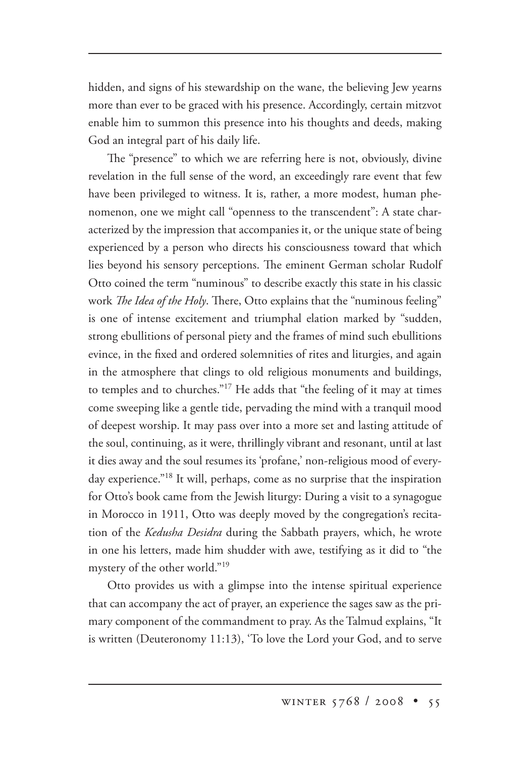hidden, and signs of his stewardship on the wane, the believing Jew yearns more than ever to be graced with his presence. Accordingly, certain mitzvot enable him to summon this presence into his thoughts and deeds, making God an integral part of his daily life.

The "presence" to which we are referring here is not, obviously, divine revelation in the full sense of the word, an exceedingly rare event that few have been privileged to witness. It is, rather, a more modest, human phenomenon, one we might call "openness to the transcendent": A state characterized by the impression that accompanies it, or the unique state of being experienced by a person who directs his consciousness toward that which lies beyond his sensory perceptions. The eminent German scholar Rudolf Otto coined the term "numinous" to describe exactly this state in his classic work *The Idea of the Holy*. There, Otto explains that the "numinous feeling" is one of intense excitement and triumphal elation marked by "sudden, strong ebullitions of personal piety and the frames of mind such ebullitions evince, in the fixed and ordered solemnities of rites and liturgies, and again in the atmosphere that clings to old religious monuments and buildings, to temples and to churches."17 He adds that "the feeling of it may at times come sweeping like a gentle tide, pervading the mind with a tranquil mood of deepest worship. It may pass over into a more set and lasting attitude of the soul, continuing, as it were, thrillingly vibrant and resonant, until at last it dies away and the soul resumes its 'profane,' non-religious mood of everyday experience."18 It will, perhaps, come as no surprise that the inspiration for Otto's book came from the Jewish liturgy: During a visit to a synagogue in Morocco in 1911, Otto was deeply moved by the congregation's recitation of the *Kedusha Desidra* during the Sabbath prayers, which, he wrote in one his letters, made him shudder with awe, testifying as it did to "the mystery of the other world."19

Otto provides us with a glimpse into the intense spiritual experience that can accompany the act of prayer, an experience the sages saw as the primary component of the commandment to pray. As the Talmud explains, "It is written (Deuteronomy 11:13), 'To love the Lord your God, and to serve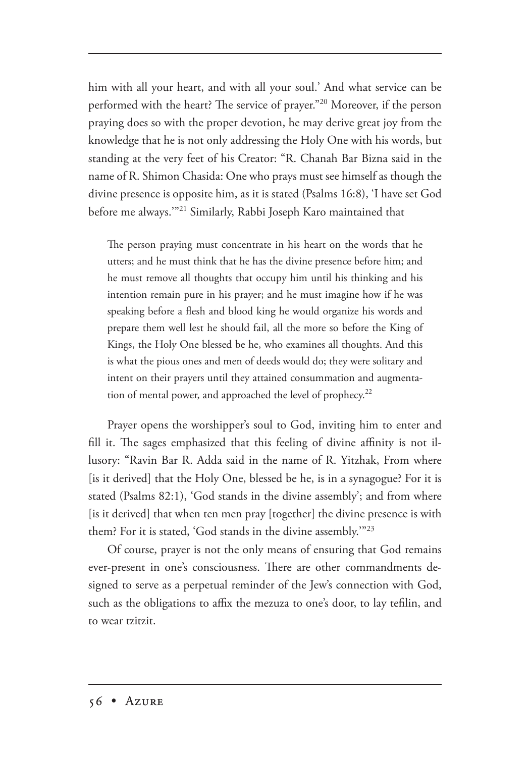him with all your heart, and with all your soul.' And what service can be performed with the heart? The service of prayer."<sup>20</sup> Moreover, if the person praying does so with the proper devotion, he may derive great joy from the knowledge that he is not only addressing the Holy One with his words, but standing at the very feet of his Creator: "R. Chanah Bar Bizna said in the name of R. Shimon Chasida: One who prays must see himself as though the divine presence is opposite him, as it is stated (Psalms 16:8), 'I have set God before me always.'"21 Similarly, Rabbi Joseph Karo maintained that

The person praying must concentrate in his heart on the words that he utters; and he must think that he has the divine presence before him; and he must remove all thoughts that occupy him until his thinking and his intention remain pure in his prayer; and he must imagine how if he was speaking before a flesh and blood king he would organize his words and prepare them well lest he should fail, all the more so before the King of Kings, the Holy One blessed be he, who examines all thoughts. And this is what the pious ones and men of deeds would do; they were solitary and intent on their prayers until they attained consummation and augmentation of mental power, and approached the level of prophecy.<sup>22</sup>

Prayer opens the worshipper's soul to God, inviting him to enter and fill it. The sages emphasized that this feeling of divine affinity is not illusory: "Ravin Bar R. Adda said in the name of R. Yitzhak, From where [is it derived] that the Holy One, blessed be he, is in a synagogue? For it is stated (Psalms 82:1), 'God stands in the divine assembly'; and from where [is it derived] that when ten men pray [together] the divine presence is with them? For it is stated, 'God stands in the divine assembly.'"23

Of course, prayer is not the only means of ensuring that God remains ever-present in one's consciousness. There are other commandments designed to serve as a perpetual reminder of the Jew's connection with God, such as the obligations to affix the mezuza to one's door, to lay tefilin, and to wear tzitzit.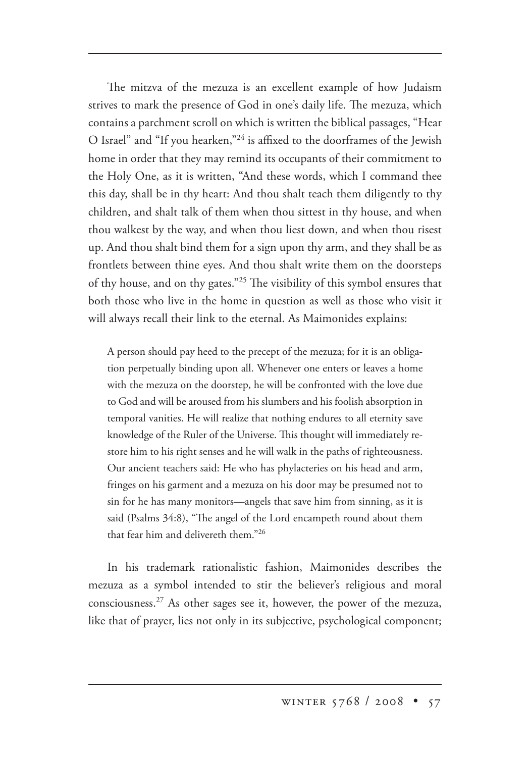The mitzva of the mezuza is an excellent example of how Judaism strives to mark the presence of God in one's daily life. The mezuza, which contains a parchment scroll on which is written the biblical passages, "Hear O Israel" and "If you hearken,"24 is affixed to the doorframes of the Jewish home in order that they may remind its occupants of their commitment to the Holy One, as it is written, "And these words, which I command thee this day, shall be in thy heart: And thou shalt teach them diligently to thy children, and shalt talk of them when thou sittest in thy house, and when thou walkest by the way, and when thou liest down, and when thou risest up. And thou shalt bind them for a sign upon thy arm, and they shall be as frontlets between thine eyes. And thou shalt write them on the doorsteps of thy house, and on thy gates."<sup>25</sup> The visibility of this symbol ensures that both those who live in the home in question as well as those who visit it will always recall their link to the eternal. As Maimonides explains:

A person should pay heed to the precept of the mezuza; for it is an obligation perpetually binding upon all. Whenever one enters or leaves a home with the mezuza on the doorstep, he will be confronted with the love due to God and will be aroused from his slumbers and his foolish absorption in temporal vanities. He will realize that nothing endures to all eternity save knowledge of the Ruler of the Universe. This thought will immediately restore him to his right senses and he will walk in the paths of righteousness. Our ancient teachers said: He who has phylacteries on his head and arm, fringes on his garment and a mezuza on his door may be presumed not to sin for he has many monitors—angels that save him from sinning, as it is said (Psalms 34:8), "The angel of the Lord encampeth round about them that fear him and delivereth them."26

In his trademark rationalistic fashion, Maimonides describes the mezuza as a symbol intended to stir the believer's religious and moral consciousness.27 As other sages see it, however, the power of the mezuza, like that of prayer, lies not only in its subjective, psychological component;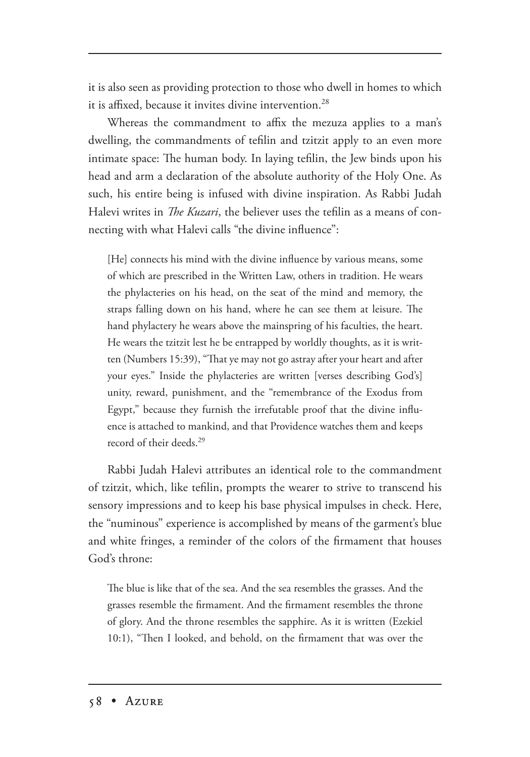it is also seen as providing protection to those who dwell in homes to which it is affixed, because it invites divine intervention.<sup>28</sup>

Whereas the commandment to affix the mezuza applies to a man's dwelling, the commandments of tefilin and tzitzit apply to an even more intimate space: The human body. In laying tefilin, the Jew binds upon his head and arm a declaration of the absolute authority of the Holy One. As such, his entire being is infused with divine inspiration. As Rabbi Judah Halevi writes in *The Kuzari*, the believer uses the tefilin as a means of connecting with what Halevi calls "the divine influence":

[He] connects his mind with the divine influence by various means, some of which are prescribed in the Written Law, others in tradition. He wears the phylacteries on his head, on the seat of the mind and memory, the straps falling down on his hand, where he can see them at leisure. The hand phylactery he wears above the mainspring of his faculties, the heart. He wears the tzitzit lest he be entrapped by worldly thoughts, as it is written (Numbers 15:39), "That ye may not go astray after your heart and after your eyes." Inside the phylacteries are written [verses describing God's] unity, reward, punishment, and the "remembrance of the Exodus from Egypt," because they furnish the irrefutable proof that the divine influence is attached to mankind, and that Providence watches them and keeps record of their deeds<sup>29</sup>

Rabbi Judah Halevi attributes an identical role to the commandment of tzitzit, which, like tefilin, prompts the wearer to strive to transcend his sensory impressions and to keep his base physical impulses in check. Here, the "numinous" experience is accomplished by means of the garment's blue and white fringes, a reminder of the colors of the firmament that houses God's throne:

The blue is like that of the sea. And the sea resembles the grasses. And the grasses resemble the firmament. And the firmament resembles the throne of glory. And the throne resembles the sapphire. As it is written (Ezekiel 10:1), "Then I looked, and behold, on the firmament that was over the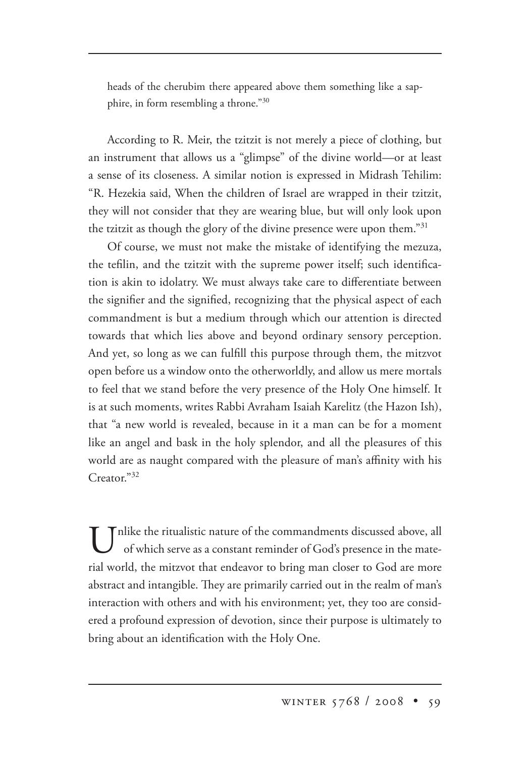heads of the cherubim there appeared above them something like a sapphire, in form resembling a throne."30

According to R. Meir, the tzitzit is not merely a piece of clothing, but an instrument that allows us a "glimpse" of the divine world—or at least a sense of its closeness. A similar notion is expressed in Midrash Tehilim: "R. Hezekia said, When the children of Israel are wrapped in their tzitzit, they will not consider that they are wearing blue, but will only look upon the tzitzit as though the glory of the divine presence were upon them."31

Of course, we must not make the mistake of identifying the mezuza, the tefilin, and the tzitzit with the supreme power itself; such identification is akin to idolatry. We must always take care to differentiate between the signifier and the signified, recognizing that the physical aspect of each commandment is but a medium through which our attention is directed towards that which lies above and beyond ordinary sensory perception. And yet, so long as we can fulfill this purpose through them, the mitzvot open before us a window onto the otherworldly, and allow us mere mortals to feel that we stand before the very presence of the Holy One himself. It is at such moments, writes Rabbi Avraham Isaiah Karelitz (the Hazon Ish), that "a new world is revealed, because in it a man can be for a moment like an angel and bask in the holy splendor, and all the pleasures of this world are as naught compared with the pleasure of man's affinity with his Creator."<sup>32</sup>

Unlike the ritualistic nature of the commandments discussed above, all of which serve as a constant reminder of God's presence in the material world, the mitzvot that endeavor to bring man closer to God are more abstract and intangible. They are primarily carried out in the realm of man's interaction with others and with his environment; yet, they too are considered a profound expression of devotion, since their purpose is ultimately to bring about an identification with the Holy One.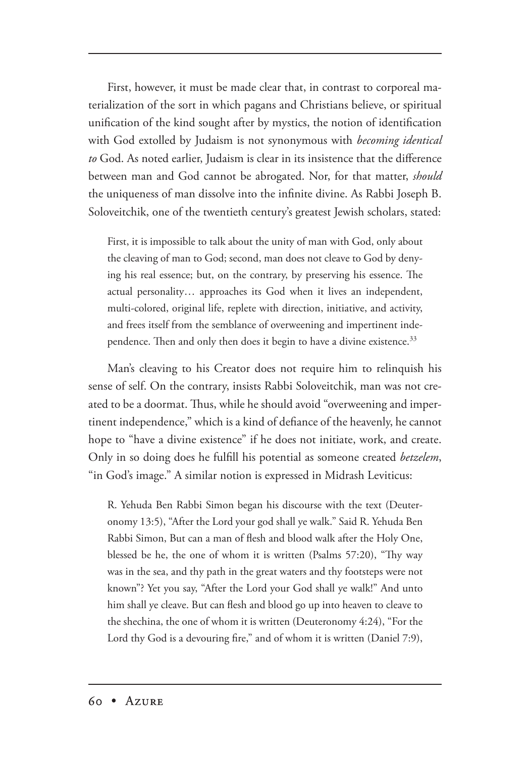First, however, it must be made clear that, in contrast to corporeal materialization of the sort in which pagans and Christians believe, or spiritual unification of the kind sought after by mystics, the notion of identification with God extolled by Judaism is not synonymous with *becoming identical to* God. As noted earlier, Judaism is clear in its insistence that the difference between man and God cannot be abrogated. Nor, for that matter, *should* the uniqueness of man dissolve into the infinite divine. As Rabbi Joseph B. Soloveitchik, one of the twentieth century's greatest Jewish scholars, stated:

First, it is impossible to talk about the unity of man with God, only about the cleaving of man to God; second, man does not cleave to God by denying his real essence; but, on the contrary, by preserving his essence. The actual personality… approaches its God when it lives an independent, multi-colored, original life, replete with direction, initiative, and activity, and frees itself from the semblance of overweening and impertinent independence. Then and only then does it begin to have a divine existence.<sup>33</sup>

Man's cleaving to his Creator does not require him to relinquish his sense of self. On the contrary, insists Rabbi Soloveitchik, man was not created to be a doormat. Thus, while he should avoid "overweening and impertinent independence," which is a kind of defiance of the heavenly, he cannot hope to "have a divine existence" if he does not initiate, work, and create. Only in so doing does he fulfill his potential as someone created *betzelem*, "in God's image." A similar notion is expressed in Midrash Leviticus:

R. Yehuda Ben Rabbi Simon began his discourse with the text (Deuteronomy 13:5), "After the Lord your god shall ye walk." Said R. Yehuda Ben Rabbi Simon, But can a man of flesh and blood walk after the Holy One, blessed be he, the one of whom it is written (Psalms  $57:20$ ), "Thy way was in the sea, and thy path in the great waters and thy footsteps were not known"? Yet you say, "After the Lord your God shall ye walk!" And unto him shall ye cleave. But can flesh and blood go up into heaven to cleave to the shechina, the one of whom it is written (Deuteronomy 4:24), "For the Lord thy God is a devouring fire," and of whom it is written (Daniel 7:9),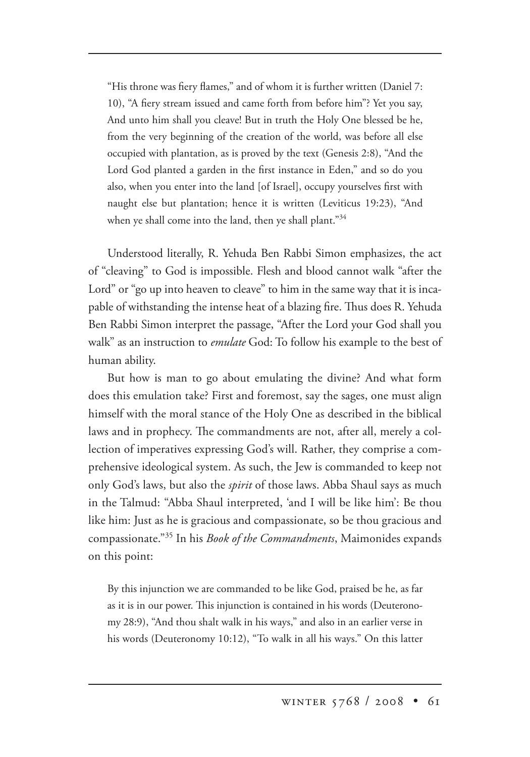"His throne was fiery flames," and of whom it is further written (Daniel 7: 10), "A fiery stream issued and came forth from before him"? Yet you say, And unto him shall you cleave! But in truth the Holy One blessed be he, from the very beginning of the creation of the world, was before all else occupied with plantation, as is proved by the text (Genesis 2:8), "And the Lord God planted a garden in the first instance in Eden," and so do you also, when you enter into the land [of Israel], occupy yourselves first with naught else but plantation; hence it is written (Leviticus 19:23), "And when ye shall come into the land, then ye shall plant."<sup>34</sup>

Understood literally, R. Yehuda Ben Rabbi Simon emphasizes, the act of "cleaving" to God is impossible. Flesh and blood cannot walk "after the Lord" or "go up into heaven to cleave" to him in the same way that it is incapable of withstanding the intense heat of a blazing fire. Thus does R. Yehuda Ben Rabbi Simon interpret the passage, "After the Lord your God shall you walk" as an instruction to *emulate* God: To follow his example to the best of human ability.

But how is man to go about emulating the divine? And what form does this emulation take? First and foremost, say the sages, one must align himself with the moral stance of the Holy One as described in the biblical laws and in prophecy. The commandments are not, after all, merely a collection of imperatives expressing God's will. Rather, they comprise a comprehensive ideological system. As such, the Jew is commanded to keep not only God's laws, but also the *spirit* of those laws. Abba Shaul says as much in the Talmud: "Abba Shaul interpreted, 'and I will be like him': Be thou like him: Just as he is gracious and compassionate, so be thou gracious and compassionate."35 In his *Book of the Commandments*, Maimonides expands on this point:

By this injunction we are commanded to be like God, praised be he, as far as it is in our power. This injunction is contained in his words (Deuteronomy 28:9), "And thou shalt walk in his ways," and also in an earlier verse in his words (Deuteronomy 10:12), "To walk in all his ways." On this latter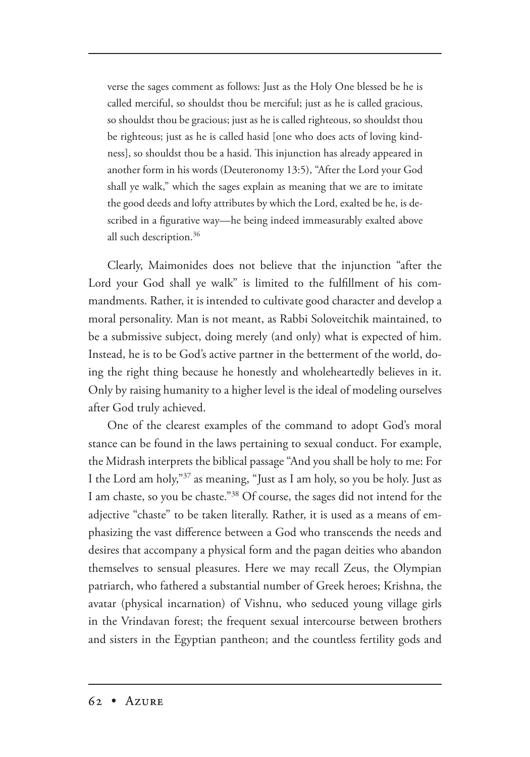verse the sages comment as follows: Just as the Holy One blessed be he is called merciful, so shouldst thou be merciful; just as he is called gracious, so shouldst thou be gracious; just as he is called righteous, so shouldst thou be righteous; just as he is called hasid [one who does acts of loving kindness], so shouldst thou be a hasid. This injunction has already appeared in another form in his words (Deuteronomy 13:5), "After the Lord your God shall ye walk," which the sages explain as meaning that we are to imitate the good deeds and lofty attributes by which the Lord, exalted be he, is described in a figurative way—he being indeed immeasurably exalted above all such description.<sup>36</sup>

Clearly, Maimonides does not believe that the injunction "after the Lord your God shall ye walk" is limited to the fulfillment of his commandments. Rather, it is intended to cultivate good character and develop a moral personality. Man is not meant, as Rabbi Soloveitchik maintained, to be a submissive subject, doing merely (and only) what is expected of him. Instead, he is to be God's active partner in the betterment of the world, doing the right thing because he honestly and wholeheartedly believes in it. Only by raising humanity to a higher level is the ideal of modeling ourselves after God truly achieved.

One of the clearest examples of the command to adopt God's moral stance can be found in the laws pertaining to sexual conduct. For example, the Midrash interprets the biblical passage "And you shall be holy to me: For I the Lord am holy,"37 as meaning, "Just as I am holy, so you be holy. Just as I am chaste, so you be chaste."38 Of course, the sages did not intend for the adjective "chaste" to be taken literally. Rather, it is used as a means of emphasizing the vast difference between a God who transcends the needs and desires that accompany a physical form and the pagan deities who abandon themselves to sensual pleasures. Here we may recall Zeus, the Olympian patriarch, who fathered a substantial number of Greek heroes; Krishna, the avatar (physical incarnation) of Vishnu, who seduced young village girls in the Vrindavan forest; the frequent sexual intercourse between brothers and sisters in the Egyptian pantheon; and the countless fertility gods and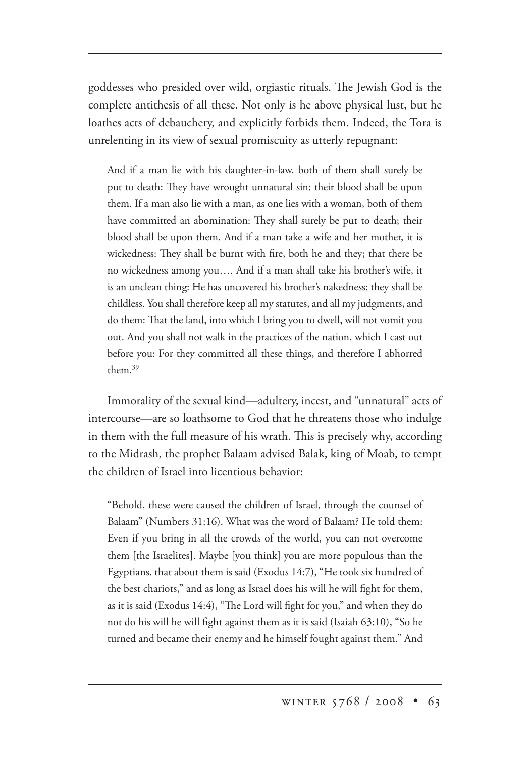goddesses who presided over wild, orgiastic rituals. The Jewish God is the complete antithesis of all these. Not only is he above physical lust, but he loathes acts of debauchery, and explicitly forbids them. Indeed, the Tora is unrelenting in its view of sexual promiscuity as utterly repugnant:

And if a man lie with his daughter-in-law, both of them shall surely be put to death: They have wrought unnatural sin; their blood shall be upon them. If a man also lie with a man, as one lies with a woman, both of them have committed an abomination: They shall surely be put to death; their blood shall be upon them. And if a man take a wife and her mother, it is wickedness: They shall be burnt with fire, both he and they; that there be no wickedness among you…. And if a man shall take his brother's wife, it is an unclean thing: He has uncovered his brother's nakedness; they shall be childless. You shall therefore keep all my statutes, and all my judgments, and do them: That the land, into which I bring you to dwell, will not vomit you out. And you shall not walk in the practices of the nation, which I cast out before you: For they committed all these things, and therefore I abhorred them.39

Immorality of the sexual kind—adultery, incest, and "unnatural" acts of intercourse—are so loathsome to God that he threatens those who indulge in them with the full measure of his wrath. This is precisely why, according to the Midrash, the prophet Balaam advised Balak, king of Moab, to tempt the children of Israel into licentious behavior:

"Behold, these were caused the children of Israel, through the counsel of Balaam" (Numbers 31:16). What was the word of Balaam? He told them: Even if you bring in all the crowds of the world, you can not overcome them [the Israelites]. Maybe [you think] you are more populous than the Egyptians, that about them is said (Exodus 14:7), "He took six hundred of the best chariots," and as long as Israel does his will he will fight for them, as it is said (Exodus 14:4), "The Lord will fight for you," and when they do not do his will he will fight against them as it is said (Isaiah 63:10), "So he turned and became their enemy and he himself fought against them." And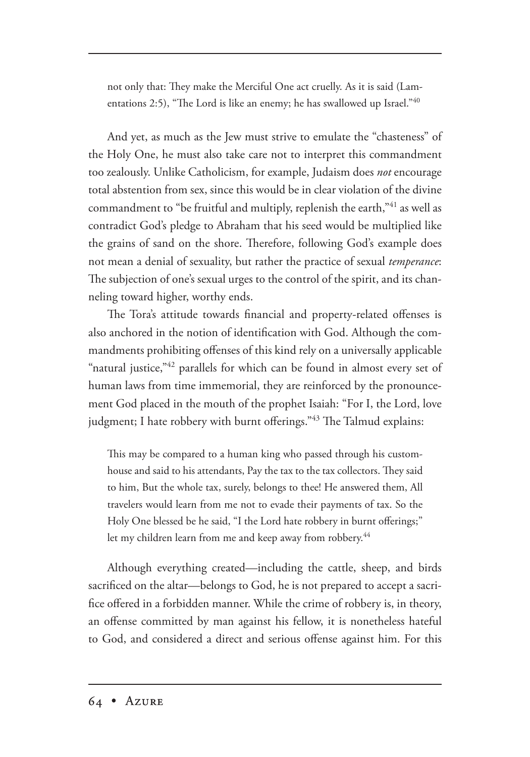not only that: They make the Merciful One act cruelly. As it is said (Lamentations 2:5), "The Lord is like an enemy; he has swallowed up Israel." $40$ 

And yet, as much as the Jew must strive to emulate the "chasteness" of the Holy One, he must also take care not to interpret this commandment too zealously. Unlike Catholicism, for example, Judaism does *not* encourage total abstention from sex, since this would be in clear violation of the divine commandment to "be fruitful and multiply, replenish the earth,"41 as well as contradict God's pledge to Abraham that his seed would be multiplied like the grains of sand on the shore. Therefore, following God's example does not mean a denial of sexuality, but rather the practice of sexual *temperance*: The subjection of one's sexual urges to the control of the spirit, and its channeling toward higher, worthy ends.

The Tora's attitude towards financial and property-related offenses is also anchored in the notion of identification with God. Although the commandments prohibiting offenses of this kind rely on a universally applicable "natural justice,"<sup>42</sup> parallels for which can be found in almost every set of human laws from time immemorial, they are reinforced by the pronouncement God placed in the mouth of the prophet Isaiah: "For I, the Lord, love judgment; I hate robbery with burnt offerings."<sup>43</sup> The Talmud explains:

This may be compared to a human king who passed through his customhouse and said to his attendants, Pay the tax to the tax collectors. They said to him, But the whole tax, surely, belongs to thee! He answered them, All travelers would learn from me not to evade their payments of tax. So the Holy One blessed be he said, "I the Lord hate robbery in burnt offerings;" let my children learn from me and keep away from robbery.<sup>44</sup>

Although everything created—including the cattle, sheep, and birds sacrificed on the altar—belongs to God, he is not prepared to accept a sacrifice offered in a forbidden manner. While the crime of robbery is, in theory, an offense committed by man against his fellow, it is nonetheless hateful to God, and considered a direct and serious offense against him. For this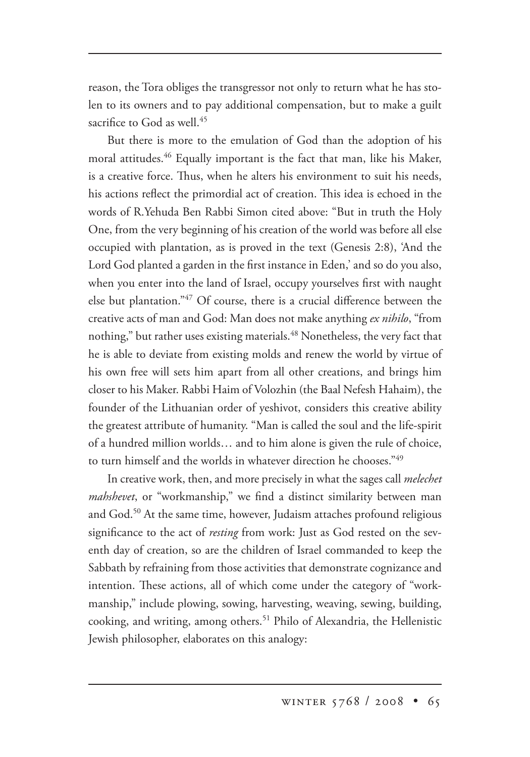reason, the Tora obliges the transgressor not only to return what he has stolen to its owners and to pay additional compensation, but to make a guilt sacrifice to God as well.<sup>45</sup>

But there is more to the emulation of God than the adoption of his moral attitudes.<sup>46</sup> Equally important is the fact that man, like his Maker, is a creative force. Thus, when he alters his environment to suit his needs, his actions reflect the primordial act of creation. This idea is echoed in the words of R.Yehuda Ben Rabbi Simon cited above: "But in truth the Holy One, from the very beginning of his creation of the world was before all else occupied with plantation, as is proved in the text (Genesis 2:8), 'And the Lord God planted a garden in the first instance in Eden,' and so do you also, when you enter into the land of Israel, occupy yourselves first with naught else but plantation."47 Of course, there is a crucial difference between the creative acts of man and God: Man does not make anything *ex nihilo*, "from nothing," but rather uses existing materials.<sup>48</sup> Nonetheless, the very fact that he is able to deviate from existing molds and renew the world by virtue of his own free will sets him apart from all other creations, and brings him closer to his Maker. Rabbi Haim of Volozhin (the Baal Nefesh Hahaim), the founder of the Lithuanian order of yeshivot, considers this creative ability the greatest attribute of humanity. "Man is called the soul and the life-spirit of a hundred million worlds… and to him alone is given the rule of choice, to turn himself and the worlds in whatever direction he chooses."49

In creative work, then, and more precisely in what the sages call *melechet mahshevet*, or "workmanship," we find a distinct similarity between man and God.50 At the same time, however, Judaism attaches profound religious significance to the act of *resting* from work: Just as God rested on the seventh day of creation, so are the children of Israel commanded to keep the Sabbath by refraining from those activities that demonstrate cognizance and intention. These actions, all of which come under the category of "workmanship," include plowing, sowing, harvesting, weaving, sewing, building, cooking, and writing, among others.<sup>51</sup> Philo of Alexandria, the Hellenistic Jewish philosopher, elaborates on this analogy: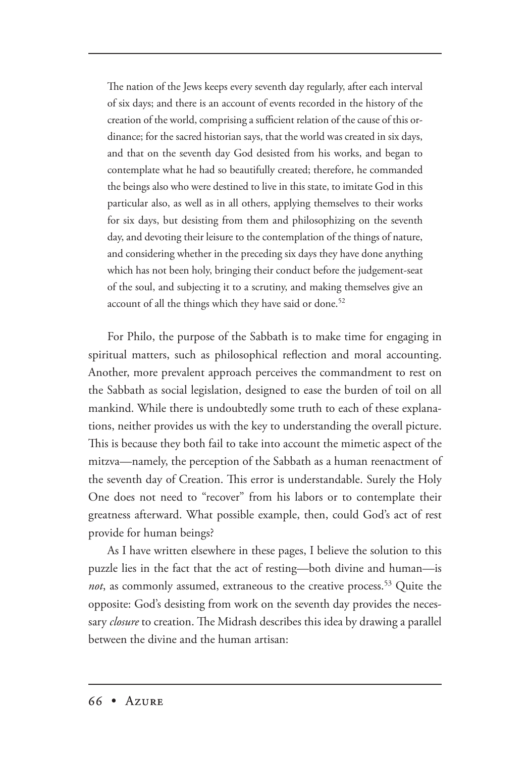The nation of the Jews keeps every seventh day regularly, after each interval of six days; and there is an account of events recorded in the history of the creation of the world, comprising a sufficient relation of the cause of this ordinance; for the sacred historian says, that the world was created in six days, and that on the seventh day God desisted from his works, and began to contemplate what he had so beautifully created; therefore, he commanded the beings also who were destined to live in this state, to imitate God in this particular also, as well as in all others, applying themselves to their works for six days, but desisting from them and philosophizing on the seventh day, and devoting their leisure to the contemplation of the things of nature, and considering whether in the preceding six days they have done anything which has not been holy, bringing their conduct before the judgement-seat of the soul, and subjecting it to a scrutiny, and making themselves give an account of all the things which they have said or done.<sup>52</sup>

For Philo, the purpose of the Sabbath is to make time for engaging in spiritual matters, such as philosophical reflection and moral accounting. Another, more prevalent approach perceives the commandment to rest on the Sabbath as social legislation, designed to ease the burden of toil on all mankind. While there is undoubtedly some truth to each of these explanations, neither provides us with the key to understanding the overall picture. This is because they both fail to take into account the mimetic aspect of the mitzva—namely, the perception of the Sabbath as a human reenactment of the seventh day of Creation. This error is understandable. Surely the Holy One does not need to "recover" from his labors or to contemplate their greatness afterward. What possible example, then, could God's act of rest provide for human beings?

As I have written elsewhere in these pages, I believe the solution to this puzzle lies in the fact that the act of resting—both divine and human—is *not*, as commonly assumed, extraneous to the creative process.<sup>53</sup> Quite the opposite: God's desisting from work on the seventh day provides the necessary *closure* to creation. The Midrash describes this idea by drawing a parallel between the divine and the human artisan: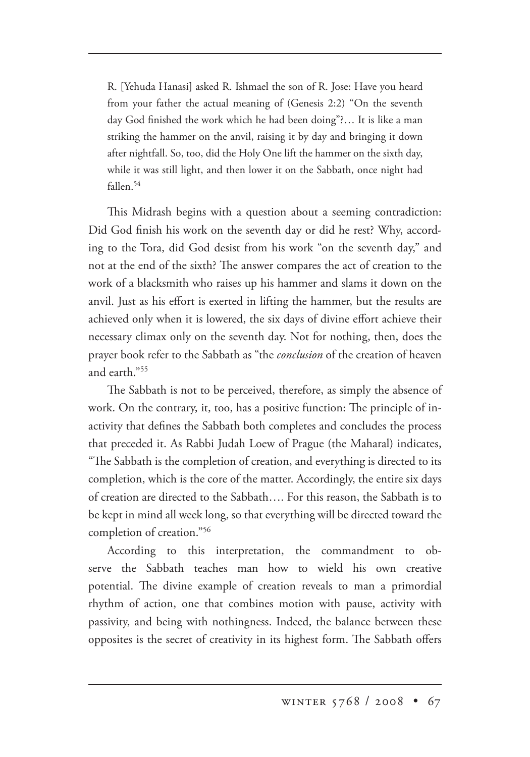R. [Yehuda Hanasi] asked R. Ishmael the son of R. Jose: Have you heard from your father the actual meaning of (Genesis 2:2) "On the seventh day God finished the work which he had been doing"?… It is like a man striking the hammer on the anvil, raising it by day and bringing it down after nightfall. So, too, did the Holy One lift the hammer on the sixth day, while it was still light, and then lower it on the Sabbath, once night had fallen.<sup>54</sup>

This Midrash begins with a question about a seeming contradiction: Did God finish his work on the seventh day or did he rest? Why, according to the Tora, did God desist from his work "on the seventh day," and not at the end of the sixth? The answer compares the act of creation to the work of a blacksmith who raises up his hammer and slams it down on the anvil. Just as his effort is exerted in lifting the hammer, but the results are achieved only when it is lowered, the six days of divine effort achieve their necessary climax only on the seventh day. Not for nothing, then, does the prayer book refer to the Sabbath as "the *conclusion* of the creation of heaven and earth<sup>"55</sup>

The Sabbath is not to be perceived, therefore, as simply the absence of work. On the contrary, it, too, has a positive function: The principle of inactivity that defines the Sabbath both completes and concludes the process that preceded it. As Rabbi Judah Loew of Prague (the Maharal) indicates, "The Sabbath is the completion of creation, and everything is directed to its completion, which is the core of the matter. Accordingly, the entire six days of creation are directed to the Sabbath…. For this reason, the Sabbath is to be kept in mind all week long, so that everything will be directed toward the completion of creation."56

According to this interpretation, the commandment to observe the Sabbath teaches man how to wield his own creative potential. The divine example of creation reveals to man a primordial rhythm of action, one that combines motion with pause, activity with passivity, and being with nothingness. Indeed, the balance between these opposites is the secret of creativity in its highest form. The Sabbath offers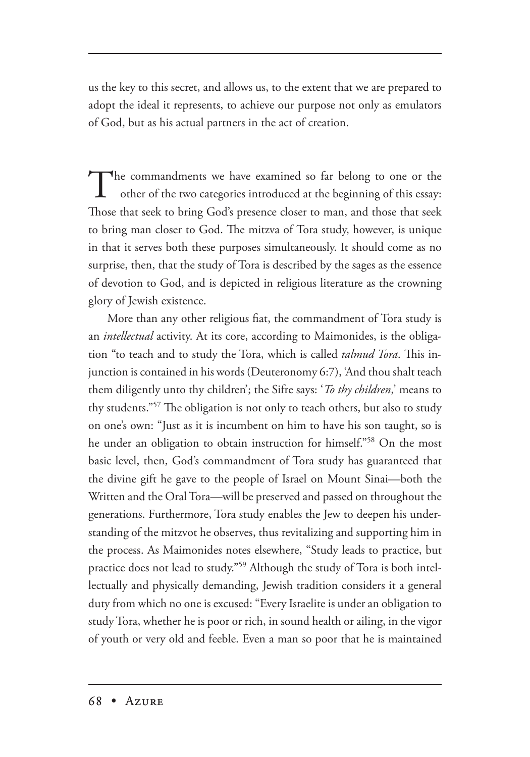us the key to this secret, and allows us, to the extent that we are prepared to adopt the ideal it represents, to achieve our purpose not only as emulators of God, but as his actual partners in the act of creation.

The commandments we have examined so far belong to one or the other of the two categories introduced at the beginning of this essay: Those that seek to bring God's presence closer to man, and those that seek to bring man closer to God. The mitzva of Tora study, however, is unique in that it serves both these purposes simultaneously. It should come as no surprise, then, that the study of Tora is described by the sages as the essence of devotion to God, and is depicted in religious literature as the crowning glory of Jewish existence.

More than any other religious fiat, the commandment of Tora study is an *intellectual* activity. At its core, according to Maimonides, is the obligation "to teach and to study the Tora, which is called *talmud Tora*. This injunction is contained in his words (Deuteronomy 6:7), 'And thou shalt teach them diligently unto thy children'; the Sifre says: '*To thy children*,' means to thy students."<sup>57</sup> The obligation is not only to teach others, but also to study on one's own: "Just as it is incumbent on him to have his son taught, so is he under an obligation to obtain instruction for himself."58 On the most basic level, then, God's commandment of Tora study has guaranteed that the divine gift he gave to the people of Israel on Mount Sinai—both the Written and the Oral Tora—will be preserved and passed on throughout the generations. Furthermore, Tora study enables the Jew to deepen his understanding of the mitzvot he observes, thus revitalizing and supporting him in the process. As Maimonides notes elsewhere, "Study leads to practice, but practice does not lead to study."59 Although the study of Tora is both intellectually and physically demanding, Jewish tradition considers it a general duty from which no one is excused: "Every Israelite is under an obligation to study Tora, whether he is poor or rich, in sound health or ailing, in the vigor of youth or very old and feeble. Even a man so poor that he is maintained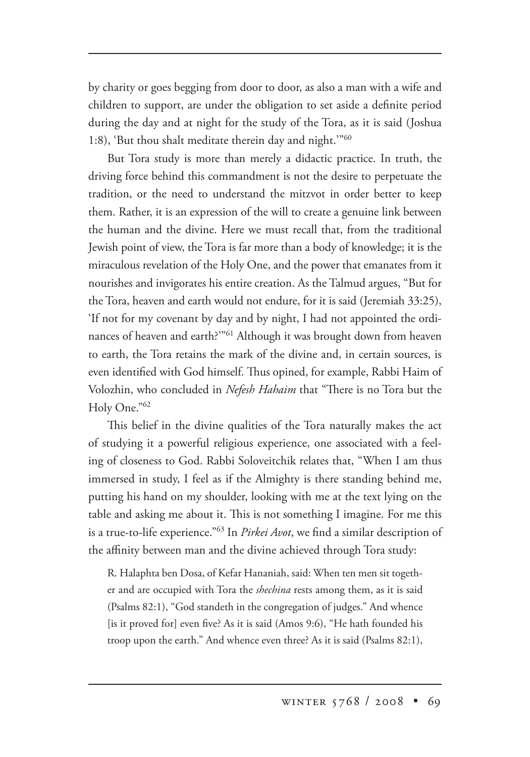by charity or goes begging from door to door, as also a man with a wife and children to support, are under the obligation to set aside a definite period during the day and at night for the study of the Tora, as it is said (Joshua 1:8), 'But thou shalt meditate therein day and night.'"60

But Tora study is more than merely a didactic practice. In truth, the driving force behind this commandment is not the desire to perpetuate the tradition, or the need to understand the mitzvot in order better to keep them. Rather, it is an expression of the will to create a genuine link between the human and the divine. Here we must recall that, from the traditional Jewish point of view, the Tora is far more than a body of knowledge; it is the miraculous revelation of the Holy One, and the power that emanates from it nourishes and invigorates his entire creation. As the Talmud argues, "But for the Tora, heaven and earth would not endure, for it is said (Jeremiah 33:25), 'If not for my covenant by day and by night, I had not appointed the ordinances of heaven and earth?"<sup>61</sup> Although it was brought down from heaven to earth, the Tora retains the mark of the divine and, in certain sources, is even identified with God himself. Thus opined, for example, Rabbi Haim of Volozhin, who concluded in *Nefesh Hahaim* that "There is no Tora but the Holy One."62

This belief in the divine qualities of the Tora naturally makes the act of studying it a powerful religious experience, one associated with a feeling of closeness to God. Rabbi Soloveitchik relates that, "When I am thus immersed in study, I feel as if the Almighty is there standing behind me, putting his hand on my shoulder, looking with me at the text lying on the table and asking me about it. This is not something I imagine. For me this is a true-to-life experience."63 In *Pirkei Avot*, we find a similar description of the affinity between man and the divine achieved through Tora study:

R. Halaphta ben Dosa, of Kefar Hananiah, said: When ten men sit together and are occupied with Tora the *shechina* rests among them, as it is said (Psalms 82:1), "God standeth in the congregation of judges." And whence [is it proved for] even five? As it is said (Amos 9:6), "He hath founded his troop upon the earth." And whence even three? As it is said (Psalms 82:1),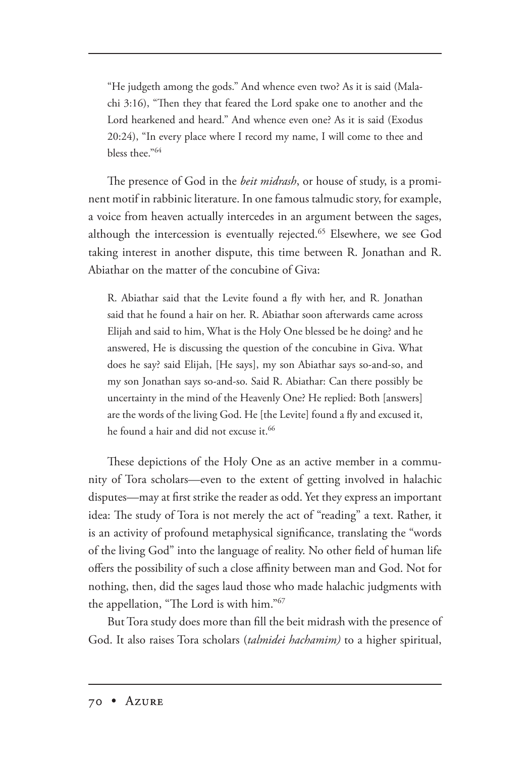"He judgeth among the gods." And whence even two? As it is said (Malachi 3:16), "Then they that feared the Lord spake one to another and the Lord hearkened and heard." And whence even one? As it is said (Exodus 20:24), "In every place where I record my name, I will come to thee and bless thee."64

The presence of God in the *beit midrash*, or house of study, is a prominent motif in rabbinic literature. In one famous talmudic story, for example, a voice from heaven actually intercedes in an argument between the sages, although the intercession is eventually rejected.<sup>65</sup> Elsewhere, we see God taking interest in another dispute, this time between R. Jonathan and R. Abiathar on the matter of the concubine of Giva:

R. Abiathar said that the Levite found a fly with her, and R. Jonathan said that he found a hair on her. R. Abiathar soon afterwards came across Elijah and said to him, What is the Holy One blessed be he doing? and he answered, He is discussing the question of the concubine in Giva. What does he say? said Elijah, [He says], my son Abiathar says so-and-so, and my son Jonathan says so-and-so. Said R. Abiathar: Can there possibly be uncertainty in the mind of the Heavenly One? He replied: Both [answers] are the words of the living God. He [the Levite] found a fly and excused it, he found a hair and did not excuse it.<sup>66</sup>

These depictions of the Holy One as an active member in a community of Tora scholars—even to the extent of getting involved in halachic disputes—may at first strike the reader as odd. Yet they express an important idea: The study of Tora is not merely the act of "reading" a text. Rather, it is an activity of profound metaphysical significance, translating the "words of the living God" into the language of reality. No other field of human life offers the possibility of such a close affinity between man and God. Not for nothing, then, did the sages laud those who made halachic judgments with the appellation, "The Lord is with him."<sup>67</sup>

But Tora study does more than fill the beit midrash with the presence of God. It also raises Tora scholars (*talmidei hachamim)* to a higher spiritual,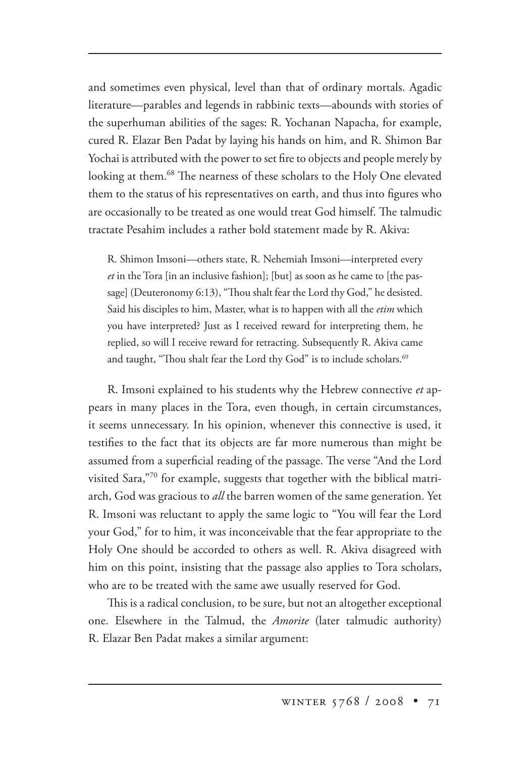and sometimes even physical, level than that of ordinary mortals. Agadic literature—parables and legends in rabbinic texts—abounds with stories of the superhuman abilities of the sages: R. Yochanan Napacha, for example, cured R. Elazar Ben Padat by laying his hands on him, and R. Shimon Bar Yochai is attributed with the power to set fire to objects and people merely by looking at them.<sup>68</sup> The nearness of these scholars to the Holy One elevated them to the status of his representatives on earth, and thus into figures who are occasionally to be treated as one would treat God himself. The talmudic tractate Pesahim includes a rather bold statement made by R. Akiva:

R. Shimon Imsoni—others state, R. Nehemiah Imsoni—interpreted every *et* in the Tora [in an inclusive fashion]; [but] as soon as he came to [the passage] (Deuteronomy 6:13), "Thou shalt fear the Lord thy God," he desisted. Said his disciples to him, Master, what is to happen with all the *etim* which you have interpreted? Just as I received reward for interpreting them, he replied, so will I receive reward for retracting. Subsequently R. Akiva came and taught, "Thou shalt fear the Lord thy God" is to include scholars.<sup>69</sup>

R. Imsoni explained to his students why the Hebrew connective *et* appears in many places in the Tora, even though, in certain circumstances, it seems unnecessary. In his opinion, whenever this connective is used, it testifies to the fact that its objects are far more numerous than might be assumed from a superficial reading of the passage. The verse "And the Lord visited Sara,"<sup>70</sup> for example, suggests that together with the biblical matriarch, God was gracious to *all* the barren women of the same generation. Yet R. Imsoni was reluctant to apply the same logic to "You will fear the Lord your God," for to him, it was inconceivable that the fear appropriate to the Holy One should be accorded to others as well. R. Akiva disagreed with him on this point, insisting that the passage also applies to Tora scholars, who are to be treated with the same awe usually reserved for God.

This is a radical conclusion, to be sure, but not an altogether exceptional one. Elsewhere in the Talmud, the *Amorite* (later talmudic authority) R. Elazar Ben Padat makes a similar argument: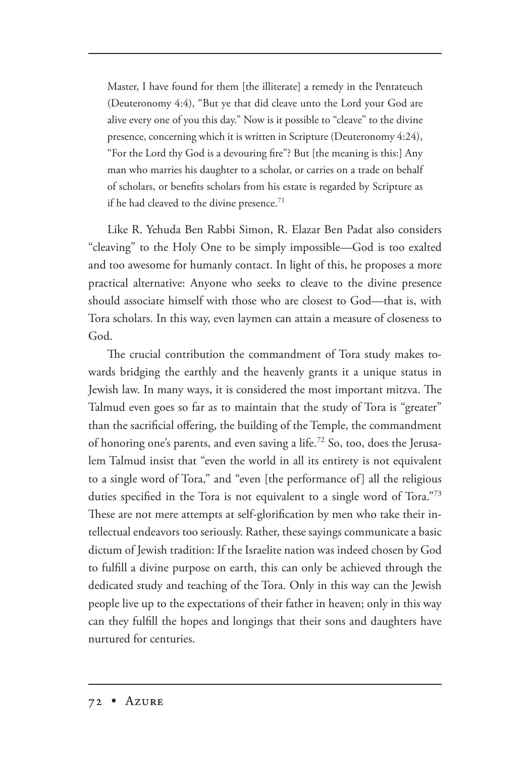Master, I have found for them [the illiterate] a remedy in the Pentateuch (Deuteronomy 4:4), "But ye that did cleave unto the Lord your God are alive every one of you this day." Now is it possible to "cleave" to the divine presence, concerning which it is written in Scripture (Deuteronomy 4:24), "For the Lord thy God is a devouring fire"? But [the meaning is this:] Any man who marries his daughter to a scholar, or carries on a trade on behalf of scholars, or benefits scholars from his estate is regarded by Scripture as if he had cleaved to the divine presence.<sup>71</sup>

Like R. Yehuda Ben Rabbi Simon, R. Elazar Ben Padat also considers "cleaving" to the Holy One to be simply impossible—God is too exalted and too awesome for humanly contact. In light of this, he proposes a more practical alternative: Anyone who seeks to cleave to the divine presence should associate himself with those who are closest to God—that is, with Tora scholars. In this way, even laymen can attain a measure of closeness to God.

The crucial contribution the commandment of Tora study makes towards bridging the earthly and the heavenly grants it a unique status in Jewish law. In many ways, it is considered the most important mitzva. The Talmud even goes so far as to maintain that the study of Tora is "greater" than the sacrificial offering, the building of the Temple, the commandment of honoring one's parents, and even saving a life.<sup>72</sup> So, too, does the Jerusalem Talmud insist that "even the world in all its entirety is not equivalent to a single word of Tora," and "even [the performance of] all the religious duties specified in the Tora is not equivalent to a single word of Tora."<sup>73</sup> These are not mere attempts at self-glorification by men who take their intellectual endeavors too seriously. Rather, these sayings communicate a basic dictum of Jewish tradition: If the Israelite nation was indeed chosen by God to fulfill a divine purpose on earth, this can only be achieved through the dedicated study and teaching of the Tora. Only in this way can the Jewish people live up to the expectations of their father in heaven; only in this way can they fulfill the hopes and longings that their sons and daughters have nurtured for centuries.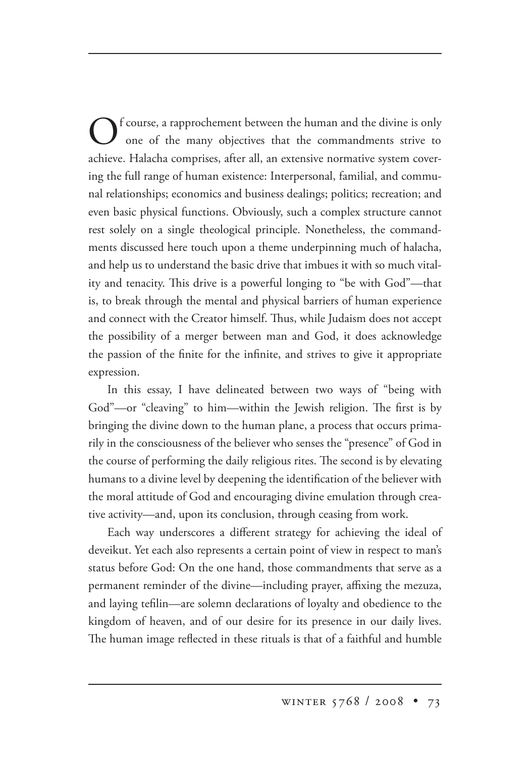f course, a rapprochement between the human and the divine is only one of the many objectives that the commandments strive to achieve. Halacha comprises, after all, an extensive normative system covering the full range of human existence: Interpersonal, familial, and communal relationships; economics and business dealings; politics; recreation; and even basic physical functions. Obviously, such a complex structure cannot rest solely on a single theological principle. Nonetheless, the commandments discussed here touch upon a theme underpinning much of halacha, and help us to understand the basic drive that imbues it with so much vitality and tenacity. This drive is a powerful longing to "be with God"—that is, to break through the mental and physical barriers of human experience and connect with the Creator himself. Thus, while Judaism does not accept the possibility of a merger between man and God, it does acknowledge the passion of the finite for the infinite, and strives to give it appropriate expression.

In this essay, I have delineated between two ways of "being with God"—or "cleaving" to him—within the Jewish religion. The first is by bringing the divine down to the human plane, a process that occurs primarily in the consciousness of the believer who senses the "presence" of God in the course of performing the daily religious rites. The second is by elevating humans to a divine level by deepening the identification of the believer with the moral attitude of God and encouraging divine emulation through creative activity—and, upon its conclusion, through ceasing from work.

Each way underscores a different strategy for achieving the ideal of deveikut. Yet each also represents a certain point of view in respect to man's status before God: On the one hand, those commandments that serve as a permanent reminder of the divine—including prayer, affixing the mezuza, and laying tefilin—are solemn declarations of loyalty and obedience to the kingdom of heaven, and of our desire for its presence in our daily lives. The human image reflected in these rituals is that of a faithful and humble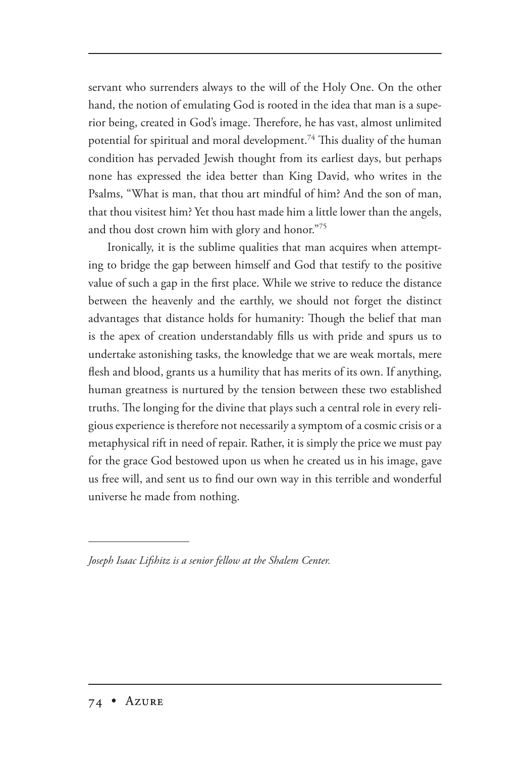servant who surrenders always to the will of the Holy One. On the other hand, the notion of emulating God is rooted in the idea that man is a superior being, created in God's image. Therefore, he has vast, almost unlimited potential for spiritual and moral development. $^{74}$  This duality of the human condition has pervaded Jewish thought from its earliest days, but perhaps none has expressed the idea better than King David, who writes in the Psalms, "What is man, that thou art mindful of him? And the son of man, that thou visitest him? Yet thou hast made him a little lower than the angels, and thou dost crown him with glory and honor."75

Ironically, it is the sublime qualities that man acquires when attempting to bridge the gap between himself and God that testify to the positive value of such a gap in the first place. While we strive to reduce the distance between the heavenly and the earthly, we should not forget the distinct advantages that distance holds for humanity: Though the belief that man is the apex of creation understandably fills us with pride and spurs us to undertake astonishing tasks, the knowledge that we are weak mortals, mere flesh and blood, grants us a humility that has merits of its own. If anything, human greatness is nurtured by the tension between these two established truths. The longing for the divine that plays such a central role in every religious experience is therefore not necessarily a symptom of a cosmic crisis or a metaphysical rift in need of repair. Rather, it is simply the price we must pay for the grace God bestowed upon us when he created us in his image, gave us free will, and sent us to find our own way in this terrible and wonderful universe he made from nothing.

*Joseph Isaac Lifshitz is a senior fellow at the Shalem Center.*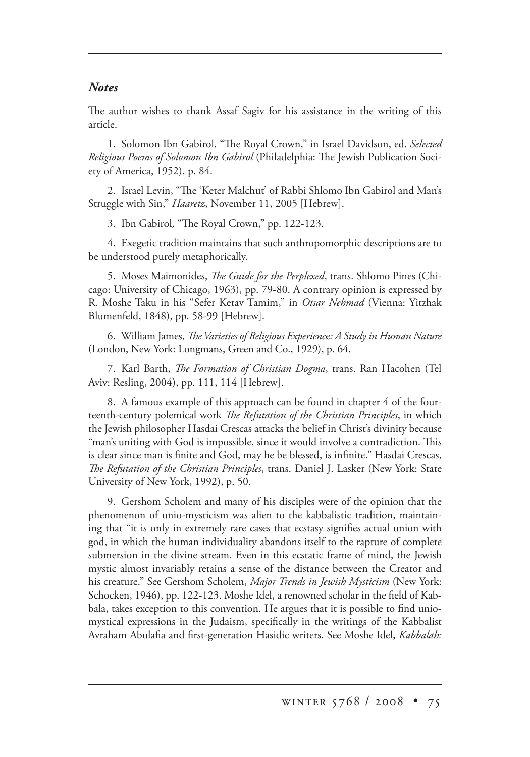## *Notes*

The author wishes to thank Assaf Sagiv for his assistance in the writing of this article.

1. Solomon Ibn Gabirol, "The Royal Crown," in Israel Davidson, ed. Selected *Religious Poems of Solomon Ibn Gabirol* (Philadelphia: The Jewish Publication Society of America, 1952), p. 84.

2. Israel Levin, "The 'Keter Malchut' of Rabbi Shlomo Ibn Gabirol and Man's Struggle with Sin," *Haaretz*, November 11, 2005 [Hebrew].

3. Ibn Gabirol, "The Royal Crown," pp. 122-123.

4. Exegetic tradition maintains that such anthropomorphic descriptions are to be understood purely metaphorically.

5. Moses Maimonides, *The Guide for the Perplexed*, trans. Shlomo Pines (Chicago: University of Chicago, 1963), pp. 79-80. A contrary opinion is expressed by R. Moshe Taku in his "Sefer Ketav Tamim," in *Otsar Nehmad* (Vienna: Yitzhak Blumenfeld, 1848), pp. 58-99 [Hebrew].

6. William James, *The Varieties of Religious Experience: A Study in Human Nature* (London, New York: Longmans, Green and Co., 1929), p. 64.

7. Karl Barth, *The Formation of Christian Dogma*, trans. Ran Hacohen (Tel Aviv: Resling, 2004), pp. 111, 114 [Hebrew].

8. A famous example of this approach can be found in chapter 4 of the fourteenth-century polemical work *The Refutation of the Christian Principles*, in which the Jewish philosopher Hasdai Crescas attacks the belief in Christ's divinity because "man's uniting with God is impossible, since it would involve a contradiction. This is clear since man is finite and God, may he be blessed, is infinite." Hasdai Crescas, *e Refutation of the Christian Principles*, trans. Daniel J. Lasker (New York: State University of New York, 1992), p. 50.

9. Gershom Scholem and many of his disciples were of the opinion that the phenomenon of unio-mysticism was alien to the kabbalistic tradition, maintaining that "it is only in extremely rare cases that ecstasy signifies actual union with god, in which the human individuality abandons itself to the rapture of complete submersion in the divine stream. Even in this ecstatic frame of mind, the Jewish mystic almost invariably retains a sense of the distance between the Creator and his creature." See Gershom Scholem, *Major Trends in Jewish Mysticism* (New York: Schocken, 1946), pp. 122-123. Moshe Idel, a renowned scholar in the field of Kabbala, takes exception to this convention. He argues that it is possible to find uniomystical expressions in the Judaism, specifically in the writings of the Kabbalist Avraham Abulafia and first-generation Hasidic writers. See Moshe Idel, *Kabbalah:*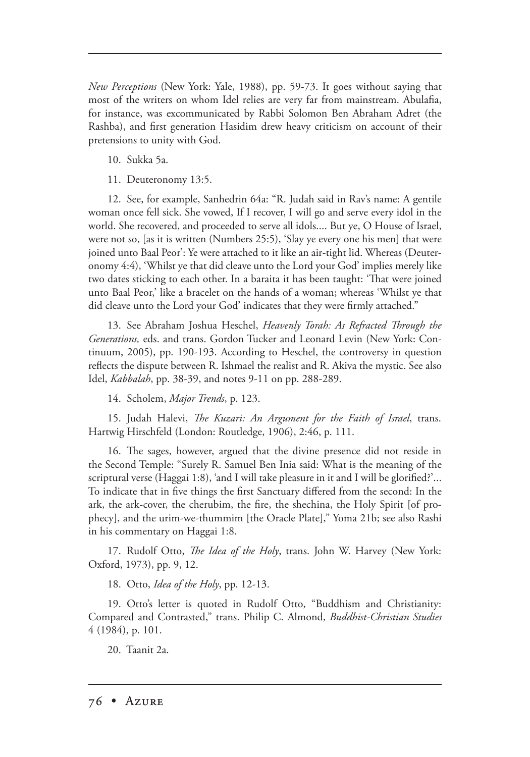*New Perceptions* (New York: Yale, 1988), pp. 59-73. It goes without saying that most of the writers on whom Idel relies are very far from mainstream. Abulafia, for instance, was excommunicated by Rabbi Solomon Ben Abraham Adret (the Rashba), and first generation Hasidim drew heavy criticism on account of their pretensions to unity with God.

- 10. Sukka 5a.
- 11. Deuteronomy 13:5.

12. See, for example, Sanhedrin 64a: "R. Judah said in Rav's name: A gentile woman once fell sick. She vowed, If I recover, I will go and serve every idol in the world. She recovered, and proceeded to serve all idols.... But ye, O House of Israel, were not so, [as it is written (Numbers 25:5), 'Slay ye every one his men] that were joined unto Baal Peor': Ye were attached to it like an air-tight lid. Whereas (Deuteronomy 4:4), 'Whilst ye that did cleave unto the Lord your God' implies merely like two dates sticking to each other. In a baraita it has been taught: 'That were joined unto Baal Peor,' like a bracelet on the hands of a woman; whereas 'Whilst ye that did cleave unto the Lord your God' indicates that they were firmly attached."

13. See Abraham Joshua Heschel, *Heavenly Torah: As Refracted Through the Generations,* eds. and trans. Gordon Tucker and Leonard Levin (New York: Continuum, 2005), pp. 190-193. According to Heschel, the controversy in question reflects the dispute between R. Ishmael the realist and R. Akiva the mystic. See also Idel, *Kabbalah*, pp. 38-39, and notes 9-11 on pp. 288-289.

14. Scholem, *Major Trends*, p. 123.

15. Judah Halevi, *The Kuzari: An Argument for the Faith of Israel*, trans. Hartwig Hirschfeld (London: Routledge, 1906), 2:46, p. 111.

16. The sages, however, argued that the divine presence did not reside in the Second Temple: "Surely R. Samuel Ben Inia said: What is the meaning of the scriptural verse (Haggai 1:8), 'and I will take pleasure in it and I will be glorified?'... To indicate that in five things the first Sanctuary differed from the second: In the ark, the ark-cover, the cherubim, the fire, the shechina, the Holy Spirit [of prophecy], and the urim-we-thummim [the Oracle Plate]," Yoma 21b; see also Rashi in his commentary on Haggai 1:8.

17. Rudolf Otto, *The Idea of the Holy*, trans. John W. Harvey (New York: Oxford, 1973), pp. 9, 12.

18. Otto, *Idea of the Holy*, pp. 12-13.

19. Otto's letter is quoted in Rudolf Otto, "Buddhism and Christianity: Compared and Contrasted," trans. Philip C. Almond, *Buddhist-Christian Studies* 4 (1984), p. 101.

20. Taanit 2a.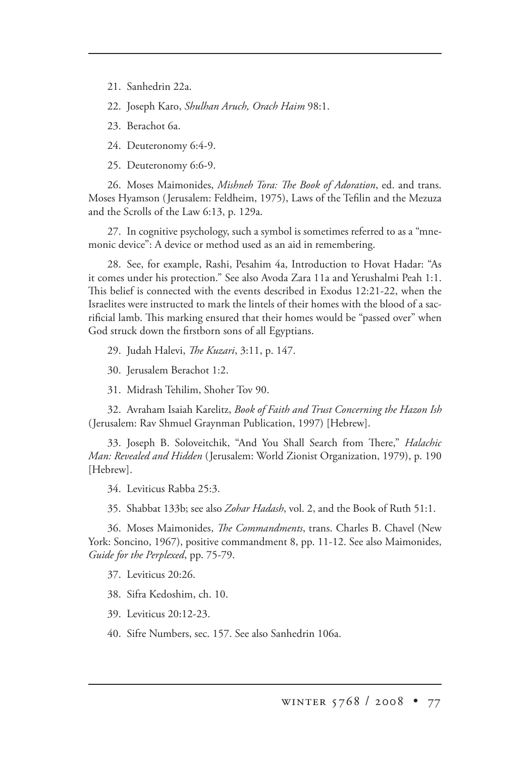21. Sanhedrin 22a.

22. Joseph Karo, *Shulhan Aruch, Orach Haim* 98:1.

23. Berachot 6a.

24. Deuteronomy 6:4-9.

25. Deuteronomy 6:6-9.

26. Moses Maimonides, *Mishneh Tora: The Book of Adoration*, ed. and trans. Moses Hyamson (Jerusalem: Feldheim, 1975), Laws of the Tefilin and the Mezuza and the Scrolls of the Law 6:13, p. 129a.

27. In cognitive psychology, such a symbol is sometimes referred to as a "mnemonic device": A device or method used as an aid in remembering.

28. See, for example, Rashi, Pesahim 4a, Introduction to Hovat Hadar: "As it comes under his protection." See also Avoda Zara 11a and Yerushalmi Peah 1:1. This belief is connected with the events described in Exodus 12:21-22, when the Israelites were instructed to mark the lintels of their homes with the blood of a sacrificial lamb. This marking ensured that their homes would be "passed over" when God struck down the firstborn sons of all Egyptians.

29. Judah Halevi, *The Kuzari*, 3:11, p. 147.

30. Jerusalem Berachot 1:2.

31. Midrash Tehilim, Shoher Tov 90.

32. Avraham Isaiah Karelitz, *Book of Faith and Trust Concerning the Hazon Ish*  (Jerusalem: Rav Shmuel Graynman Publication, 1997) [Hebrew].

33. Joseph B. Soloveitchik, "And You Shall Search from There," *Halachic Man: Revealed and Hidden* (Jerusalem: World Zionist Organization, 1979), p. 190 [Hebrew].

34. Leviticus Rabba 25:3.

35. Shabbat 133b; see also *Zohar Hadash*, vol. 2, and the Book of Ruth 51:1.

36. Moses Maimonides, *The Commandments*, trans. Charles B. Chavel (New York: Soncino, 1967), positive commandment 8, pp. 11-12. See also Maimonides, *Guide for the Perplexed*, pp. 75-79.

37. Leviticus 20:26.

38. Sifra Kedoshim, ch. 10.

39. Leviticus 20:12-23.

40. Sifre Numbers, sec. 157. See also Sanhedrin 106a.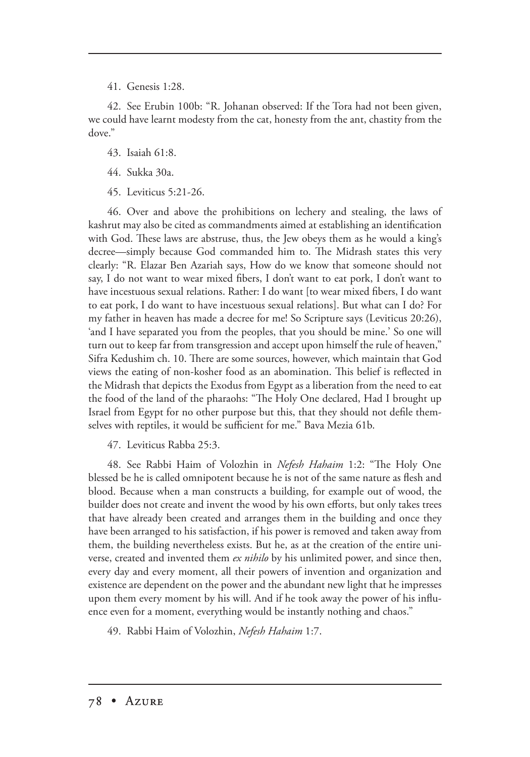41. Genesis 1:28.

42. See Erubin 100b: "R. Johanan observed: If the Tora had not been given, we could have learnt modesty from the cat, honesty from the ant, chastity from the dove."

- 43. Isaiah 61:8.
- 44. Sukka 30a.
- 45. Leviticus 5:21-26.

46. Over and above the prohibitions on lechery and stealing, the laws of kashrut may also be cited as commandments aimed at establishing an identification with God. These laws are abstruse, thus, the Jew obeys them as he would a king's decree—simply because God commanded him to. The Midrash states this very clearly: "R. Elazar Ben Azariah says, How do we know that someone should not say, I do not want to wear mixed fibers, I don't want to eat pork, I don't want to have incestuous sexual relations. Rather: I do want [to wear mixed fibers, I do want to eat pork, I do want to have incestuous sexual relations]. But what can I do? For my father in heaven has made a decree for me! So Scripture says (Leviticus 20:26), 'and I have separated you from the peoples, that you should be mine.' So one will turn out to keep far from transgression and accept upon himself the rule of heaven," Sifra Kedushim ch. 10. There are some sources, however, which maintain that God views the eating of non-kosher food as an abomination. This belief is reflected in the Midrash that depicts the Exodus from Egypt as a liberation from the need to eat the food of the land of the pharaohs: "The Holy One declared, Had I brought up Israel from Egypt for no other purpose but this, that they should not defile themselves with reptiles, it would be sufficient for me." Bava Mezia 61b.

47. Leviticus Rabba 25:3.

48. See Rabbi Haim of Volozhin in *Nefesh Hahaim* 1:2: "The Holy One blessed be he is called omnipotent because he is not of the same nature as flesh and blood. Because when a man constructs a building, for example out of wood, the builder does not create and invent the wood by his own efforts, but only takes trees that have already been created and arranges them in the building and once they have been arranged to his satisfaction, if his power is removed and taken away from them, the building nevertheless exists. But he, as at the creation of the entire universe, created and invented them *ex nihilo* by his unlimited power, and since then, every day and every moment, all their powers of invention and organization and existence are dependent on the power and the abundant new light that he impresses upon them every moment by his will. And if he took away the power of his influence even for a moment, everything would be instantly nothing and chaos."

49. Rabbi Haim of Volozhin, *Nefesh Hahaim* 1:7.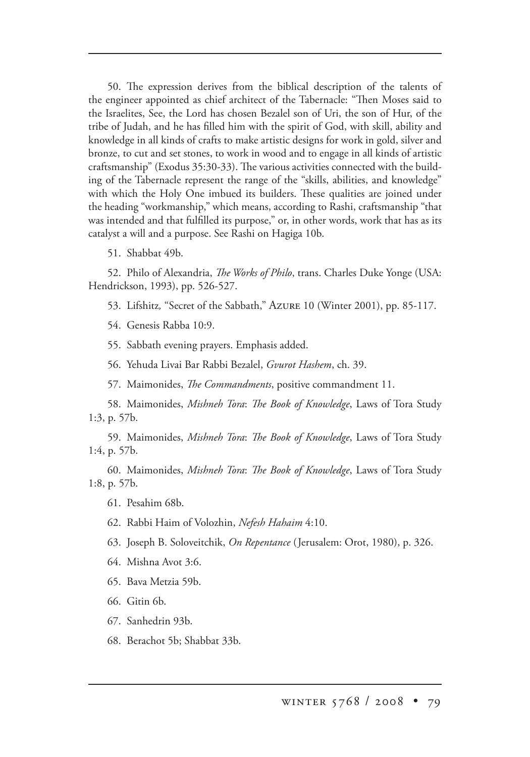50. The expression derives from the biblical description of the talents of the engineer appointed as chief architect of the Tabernacle: "Then Moses said to the Israelites, See, the Lord has chosen Bezalel son of Uri, the son of Hur, of the tribe of Judah, and he has filled him with the spirit of God, with skill, ability and knowledge in all kinds of crafts to make artistic designs for work in gold, silver and bronze, to cut and set stones, to work in wood and to engage in all kinds of artistic craftsmanship" (Exodus 35:30-33). The various activities connected with the building of the Tabernacle represent the range of the "skills, abilities, and knowledge" with which the Holy One imbued its builders. These qualities are joined under the heading "workmanship," which means, according to Rashi, craftsmanship "that was intended and that fulfilled its purpose," or, in other words, work that has as its catalyst a will and a purpose. See Rashi on Hagiga 10b.

51. Shabbat 49b.

52. Philo of Alexandria, *The Works of Philo*, trans. Charles Duke Yonge (USA: Hendrickson, 1993), pp. 526-527.

53. Lifshitz, "Secret of the Sabbath," Azure 10 (Winter 2001), pp. 85-117.

54. Genesis Rabba 10:9.

55. Sabbath evening prayers. Emphasis added.

56. Yehuda Livai Bar Rabbi Bezalel, *Gvurot Hashem*, ch. 39.

57. Maimonides, *The Commandments*, positive commandment 11.

58. Maimonides, *Mishneh Tora: The Book of Knowledge*, Laws of Tora Study 1:3, p. 57b.

59. Maimonides, Mishneh Tora: The Book of Knowledge, Laws of Tora Study 1:4, p. 57b.

60. Maimonides, *Mishneh Tora*: *e Book of Knowledge*, Laws of Tora Study 1:8, p. 57b.

- 61. Pesahim 68b.
- 62. Rabbi Haim of Volozhin, *Nefesh Hahaim* 4:10.
- 63. Joseph B. Soloveitchik, *On Repentance* (Jerusalem: Orot, 1980), p. 326.
- 64. Mishna Avot 3:6.
- 65. Bava Metzia 59b.
- 66. Gitin 6b.
- 67. Sanhedrin 93b.
- 68. Berachot 5b; Shabbat 33b.